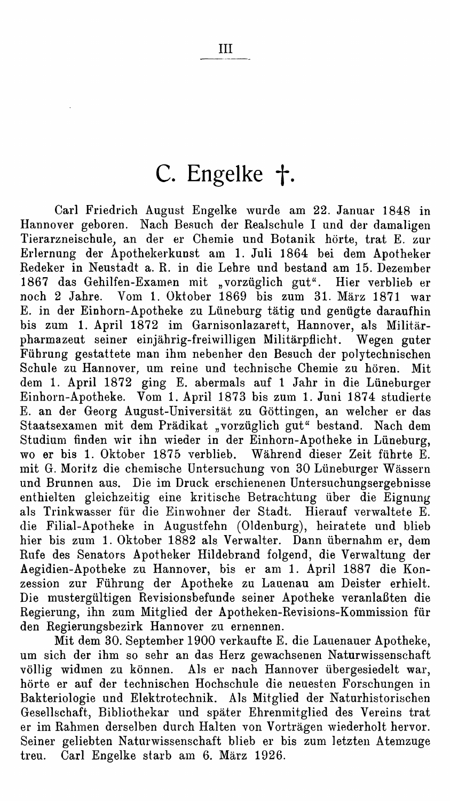## C. Engelke †.

Carl Friedrich August Engelke wurde am 22. Januar 1848 in Hannover geboren. Nach Besuch der Realschule I und der damaligen Tierarzneischule, an der er Chemie und Botanik hörte, trat E. zur Erlernung der Apothekerkunst am 1. Juli 1864 bei dem Apotheker Redeker in Neustadt a. R. in die Lehre und bestand am 15. Dezember 1867 das Gehilfen-Examen mit "vorzüglich gut". Hier verblieb er noch 2 Jahre. Vom 1. Oktober 1869 bis zum 31. März 1871 war E. in der Einhorn-Apotheke zu Lüneburg tätig und genügte daraufhin bis zum 1. April 1872 im Garnisonlazarett, Hannover, als Militärpharmazeut seiner einjährig-freiwilligen Militärpflicht. Wegen guter Führung gestattete man ihm nebenher den Besuch der polytechnischen Schule zu Hannover, um reine und technische Chemie zu hören. Mit dem 1. April 1872 ging E. abermals auf 1 Jahr in die Lüneburger Einhorn-Apotheke. Vom 1. April 1873 bis zum 1. Juni 1874 studierte E. an der Georg August-Universität zu Göttingen, an welcher er das Staatsexamen mit dem Prädikat "vorzüglich gut" bestand. Nach dem Studium finden wir ihn wieder in der Einhorn-Apotheke in Lüneburg, wo er bis 1. Oktober 1875 verblieb. Während dieser Zeit führte E. mit G. Moritz die chemische Untersuchung von 30 Lüneburger Wässern und Brunnen aus. Die im Druck erschienenen Untersuchungsergebnisse enthielten gleichzeitig eine kritische Betrachtung über die Eignung als Trinkwasser für die Einwohner der Stadt. Hierauf verwaltete E. die Filial-Apotheke in Augustfehn (Oldenburg), heiratete und blieb hier bis zum 1. Oktober 1882 als Verwalter. Dann übernahm er, dem Rufe des Senators Apotheker Hildebrand folgend, die Verwaltung der Aegidien-Apotheke zu Hannover, bis er am 1. April 1887 die Konzession zur Führung der Apotheke zu Lauenau am Deister erhielt. Die mustergültigen Revisionsbefunde seiner Apotheke veranlaßten die Regierung, ihn zum Mitglied der Apotheken-Revisions-Kommission für den Regierungsbezirk Hannover zu ernennen.

Mit dem 30. September 1900 verkaufte E. die Lauenauer Apotheke, um sich der ihm so sehr an das Herz gewachsenen Naturwissenschaft völlig widmen zu können. Als er nach Hannover übergesiedelt war, hörte er auf der technischen Hochschule die neuesten Forschungen in Bakteriologie und Elektrotechnik. Als Mitglied der Naturhistorischen Gesellschaft, Bibliothekar und später Ehrenmitglied des Vereins trat er im Rahmen derselben durch Halten von Vorträgen wiederholt hervor. Seiner geliebten Naturwissenschaft blieb er bis zum letzten Atemzuge treu. Carl Engelke starb am 6. März 1926.